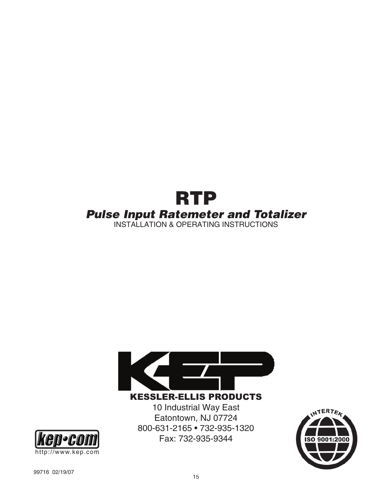



KESSLER-ELLIS PRODUCTS

10 Industrial Way East Eatontown, NJ 07724 800-631-2165 • 732-935-1320 Fax: 732-935-9344



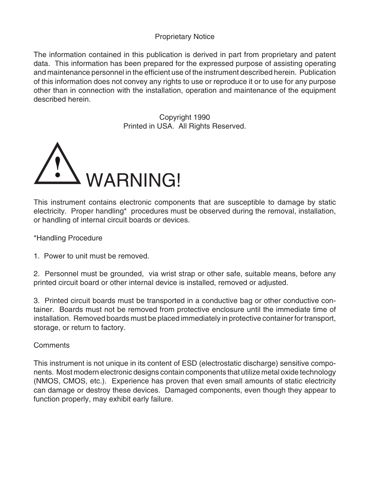### Proprietary Notice

The information contained in this publication is derived in part from proprietary and patent data. This information has been prepared for the expressed purpose of assisting operating and maintenance personnel in the efficient use of the instrument described herein. Publication of this information does not convey any rights to use or reproduce it or to use for any purpose other than in connection with the installation, operation and maintenance of the equipment described herein.

> Copyright 1990 Printed in USA. All Rights Reserved.



This instrument contains electronic components that are susceptible to damage by static electricity. Proper handling\* procedures must be observed during the removal, installation, or handling of internal circuit boards or devices.

\*Handling Procedure

1. Power to unit must be removed.

2. Personnel must be grounded, via wrist strap or other safe, suitable means, before any printed circuit board or other internal device is installed, removed or adjusted.

3. Printed circuit boards must be transported in a conductive bag or other conductive container. Boards must not be removed from protective enclosure until the immediate time of installation. Removed boards must be placed immediately in protective container for transport, storage, or return to factory.

### **Comments**

This instrument is not unique in its content of ESD (electrostatic discharge) sensitive components. Most modern electronic designs contain components that utilize metal oxide technology (NMOS, CMOS, etc.). Experience has proven that even small amounts of static electricity can damage or destroy these devices. Damaged components, even though they appear to function properly, may exhibit early failure.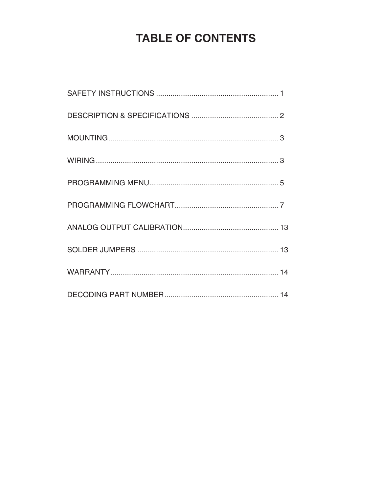### **TABLE OF CONTENTS**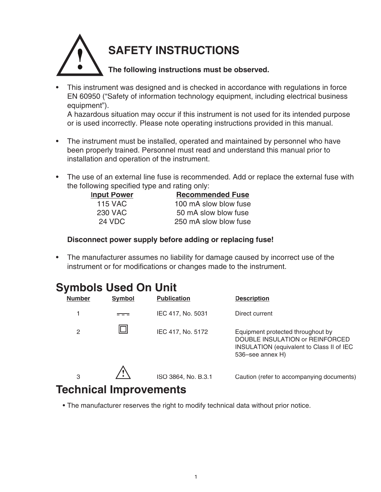

• This instrument was designed and is checked in accordance with regulations in force EN 60950 ("Safety of information technology equipment, including electrical business equipment").

 A hazardous situation may occur if this instrument is not used for its intended purpose or is used incorrectly. Please note operating instructions provided in this manual.

- The instrument must be installed, operated and maintained by personnel who have been properly trained. Personnel must read and understand this manual prior to installation and operation of the instrument.
- The use of an external line fuse is recommended. Add or replace the external fuse with the following specified type and rating only:

| <b>Input Power</b> | <b>Recommended Fuse</b> |
|--------------------|-------------------------|
| 115 VAC            | 100 mA slow blow fuse   |
| 230 VAC            | 50 mA slow blow fuse    |
| 24 VDC             | 250 mA slow blow fuse   |

### **Disconnect power supply before adding or replacing fuse!**

• The manufacturer assumes no liability for damage caused by incorrect use of the instrument or for modifications or changes made to the instrument.

### **Symbols Used On Unit**

| ◢<br><b>Number</b>          | <b>Symbol</b> | <b>Publication</b>  | <b>Description</b>                                                                                                                    |
|-----------------------------|---------------|---------------------|---------------------------------------------------------------------------------------------------------------------------------------|
|                             |               | IEC 417, No. 5031   | Direct current                                                                                                                        |
| $\overline{2}$              |               | IEC 417, No. 5172   | Equipment protected throughout by<br>DOUBLE INSULATION or REINFORCED<br>INSULATION (equivalent to Class II of IEC<br>536–see annex H) |
| 3<br>Toobniool Improvomanto |               | ISO 3864, No. B.3.1 | Caution (refer to accompanying documents)                                                                                             |

### **Technical Improvements**

• The manufacturer reserves the right to modify technical data without prior notice.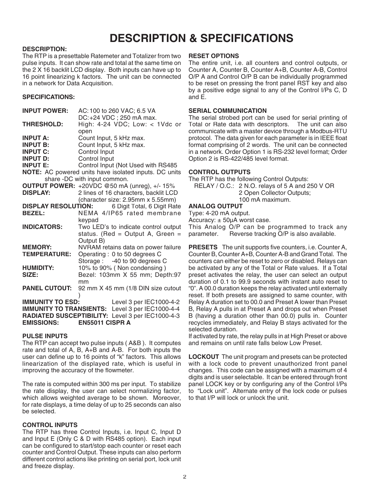### **DESCRIPTION & SPECIFICATIONS**

### **DESCRIPTION:**

The RTP is a presettable Ratemeter and Totalizer from two pulse inputs. It can show rate and total at the same time on the 2 X 16 backlit LCD display. Both inputs can have up to 16 point linearizing k factors. The unit can be connected in a network for Data Acquisition.

### **SPECIFICATIONS:**

| <b>INPUT POWER:</b>             | AC: 100 to 260 VAC; 6.5 VA                            |
|---------------------------------|-------------------------------------------------------|
|                                 | DC:+24 VDC; 250 mA max.                               |
| <b>THRESHOLD:</b>               | High: 4-24 VDC; Low: < 1Vdc or                        |
|                                 | open                                                  |
| <b>INPUT A:</b>                 | Count Input, 5 kHz max.                               |
| <b>INPUT B:</b>                 | Count Input, 5 kHz max.                               |
| <b>INPUT C:</b>                 | Control Input                                         |
| <b>INPUT D:</b>                 | Control Input                                         |
| <b>INPUT E:</b>                 | Control Input (Not Used with RS485                    |
|                                 | NOTE: AC powered units have isolated inputs. DC units |
|                                 | share -DC with input common.                          |
|                                 | <b>OUTPUT POWER:</b> +20VDC @50 mA (unreg), +/- 15%   |
| <b>DISPLAY:</b>                 | 2 lines of 16 characters, backlit LCD                 |
|                                 | (character size: 2.95mm x 5.55mm)                     |
| <b>DISPLAY RESOLUTION:</b>      | 6 Digit Total, 6 Digit Rate                           |
| <b>BEZEL:</b>                   | NEMA 4/IP65 rated membrane                            |
|                                 | keypad                                                |
| <b>INDICATORS:</b>              | Two LED's to indicate control output                  |
|                                 | status. (Red = Output A, Green =                      |
|                                 |                                                       |
| <b>MEMORY:</b>                  | Output B)                                             |
|                                 | NVRAM retains data on power failure                   |
| <b>TEMPERATURE:</b>             | Operating : 0 to 50 degrees C                         |
|                                 | Storage: -40 to 90 degrees C                          |
| <b>HUMIDITY:</b>                | 10% to 90% (Non condensing)                           |
| SIZE:                           | Bezel: 103mm X 55 mm; Depth:97                        |
|                                 | mm                                                    |
| <b>PANEL CUTOUT:</b>            | 92 mm X 45 mm (1/8 DIN size cutout                    |
|                                 |                                                       |
| <b>IMMUNITY TO ESD:</b>         | Level 3 per IEC1000-4-2                               |
| <b>IMMUNITY TO TRANSIENTS:</b>  | Level 3 per IEC1000-4-4                               |
| <b>RADIATED SUSCEPTIBILITY:</b> | Level 3 per IEC1000-4-3                               |
| <b>EMISSIONS:</b>               | <b>EN55011 CISPR A</b>                                |

### **PULSE INPUTS**

The RTP can accept two pulse inputs ( A&B ). It computes rate and total of A, B, A+B and A-B. For both inputs the user can define up to 16 points of "k" factors. This allows linearization of the displayed rate, which is useful in improving the accuracy of the flowmeter.

The rate is computed within 300 ms per input. To stabilize the rate display, the user can select normalizing factor, which allows weighted average to be shown. Moreover, for rate displays, a time delay of up to 25 seconds can also be selected.

### **CONTROL INPUTS**

The RTP has three Control Inputs, i.e. Input C, Input D and Input E (Only C & D with RS485 option). Each input can be configured to start/stop each counter or reset each counter and Control Output. These inputs can also perform different control actions like printing on serial port, lock unit and freeze display.

### **RESET OPTIONS**

The entire unit, i.e. all counters and control outputs, or Counter A, Counter B, Counter A+B, Counter A-B, Control O/P A and Control O/P B can be individually programmed to be reset on pressing the front panel RST key and also by a positive edge signal to any of the Control I/Ps C, D and E.

### **SERIAL COMMUNICATION**

The serial strobed port can be used for serial printing of Total or Rate data with descriptors. The unit can also communicate with a master device through a Modbus-RTU protocol. The data given for each parameter is in IEEE float format comprising of 2 words. The unit can be connected in a network. Order Option 1 is RS-232 level format; Order Option 2 is RS-422/485 level format.

### **CONTROL OUTPUTS**

The RTP has the following Control Outputs: RELAY / O.C.: 2 N.O. relays of 5 A and 250 V OR 2 Open Collector Outputs; 100 mA maximum.

### **ANALOG OUTPUT**

Type: 4-20 mA output.

Accuracy:  $\pm$  50 $\mu$ A worst case. This Analog O/P can be programmed to track any parameter. Reverse tracking O/P is also available.

**PRESETS** The unit supports five counters, i.e. Counter A, Counter B, Counter A+B, Counter A-B and Grand Total. The counters can either be reset to zero or disabled. Relays can be activated by any of the Total or Rate values. If a Total preset activates the relay, the user can select an output duration of 0.1 to 99.9 seconds with instant auto reset to "0". A 00.0 duration keeps the relay activated until externally reset. If both presets are assigned to same counter, with Relay A duration set to 00.0 and Preset A lower than Preset B, Relay A pulls in at Preset A and drops out when Preset B (having a duration other than 00.0) pulls in. Counter recycles immediately, and Relay B stays activated for the selected duration.

If activated by rate, the relay pulls in at High Preset or above and remains on until rate falls below Low Preset.

**LOCKOUT** The unit program and presets can be protected with a lock code to prevent unauthorized front panel changes. This code can be assigned with a maximum of 4 digits and is user selectable. It can be entered through front panel LOCK key or by configuring any of the Control I/Ps to "Lock unit". Alternate entry of the lock code or pulses to that I/P will lock or unlock the unit.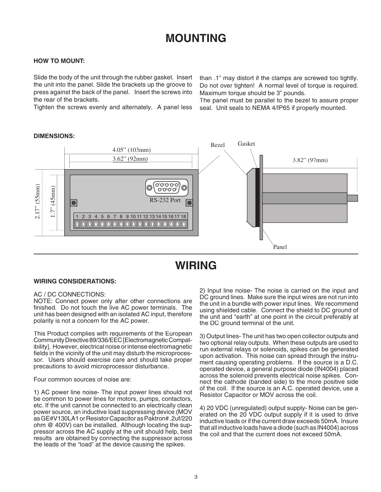### **MOUNTING**

### **HOW TO MOUNT:**

Slide the body of the unit through the rubber gasket. Insert the unit into the panel. Slide the brackets up the groove to press against the back of the panel. Insert the screws into the rear of the brackets.

Tighten the screws evenly and alternately. A panel less

than .1" may distort if the clamps are screwed too tightly. Do not over tighten! A normal level of torque is required. Maximum torque should be 3" pounds.

The panel must be parallel to the bezel to assure proper seal. Unit seals to NEMA 4/IP65 if properly mounted.

### **DIMENSIONS:**



### **WIRING**

### **WIRING CONSIDERATIONS:**

### AC / DC CONNECTIONS:

NOTE: Connect power only after other connections are finished. Do not touch the live AC power terminals. The unit has been designed with an isolated AC input, therefore polarity is not a concern for the AC power.

This Product complies with requirements of the European Community Directive 89/336/EEC [Electromagnetic Compatibility]. However, electrical noise or intense electromagnetic fields in the vicinity of the unit may disturb the microprocessor. Users should exercise care and should take proper precautions to avoid microprocessor disturbance.

Four common sources of noise are:

1) AC power line noise- The input power lines should not be common to power lines for motors, pumps, contactors, etc. If the unit cannot be connected to an electrically clean power source, an inductive load suppressing device (MOV as GE#V130LA1 or Resistor Capacitor as Paktron# .2uf/220 ohm @ 400V) can be installed. Although locating the suppressor across the AC supply at the unit should help, best results are obtained by connecting the suppressor across the leads of the "load" at the device causing the spikes.

2) Input line noise- The noise is carried on the input and DC ground lines. Make sure the input wires are not run into the unit in a bundle with power input lines. We recommend using shielded cable. Connect the shield to DC ground of the unit and "earth" at one point in the circuit preferably at the DC ground terminal of the unit.

3) Output lines- The unit has two open collector outputs and two optional relay outputs. When these outputs are used to run external relays or solenoids, spikes can be generated upon activation. This noise can spread through the instrument causing operating problems. If the source is a D.C. operated device, a general purpose diode (IN4004) placed across the solenoid prevents electrical noise spikes. Connect the cathode (banded side) to the more positive side of the coil. If the source is an A.C. operated device, use a Resistor Capacitor or MOV across the coil.

4) 20 VDC (unregulated) output supply- Noise can be generated on the 20 VDC output supply if it is used to drive inductive loads or if the current draw exceeds 50mA. Insure that all inductive loads have a diode (such as IN4004) across the coil and that the current does not exceed 50mA.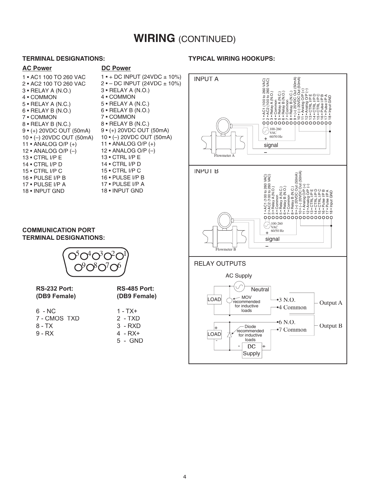### **WIRING** (CONTINUED)

### **TERMINAL DESIGNATIONS:**

### **AC Power DC Power**

1 • AC1 100 TO 260 VAC 2 • AC2 100 TO 260 VAC 3 • RELAY A (N.O.) 4 • COMMON 5 • RELAY A (N.C.) 6 • RELAY B (N.O.) 7 • COMMON 8 • RELAY B (N.C.) 9 • (+) 20VDC OUT (50mA) 10 • (–) 20VDC OUT (50mA) 11 • ANALOG O/P (+) 12 • ANALOG O/P (–) 13 • CTRL I/P E 14 • CTRL I/P D 15 • CTRL I/P C 16 • PULSE I/P B 17 • PULSE I/P A 18 • INPUT GND

### 1 • + DC INPUT (24VDC ± 10%) 2 • – DC INPUT (24VDC ± 10%) 3 • RELAY A (N.O.) 4 • COMMON 5 • RELAY A (N.C.) 6 • RELAY B (N.O.) 7 • COMMON 8 • RELAY B (N.C.) 9 • (+) 20VDC OUT (50mA) 10 • (–) 20VDC OUT (50mA) 11 • ANALOG O/P (+) 12 • ANALOG O/P (–) 13 • CTRL I/P E 14 • CTRL I/P D 15 • CTRL I/P C 16 • PULSE I/P B 17 • PULSE I/P A 18 • INPUT GND

### **TYPICAL WIRING HOOKUPS:**



### **COMMUNICATION PORT TERMINAL DESIGNATIONS:**



**RS-232 Port: (DB9 Female)**

- 6 NC 7 - CMOS TXD 8 - TX 9 - RX
- **(DB9 Female)**  $1 - TX +$ 2 - TXD

**RS-485 Port:** 

3 - RXD 4 - RX+ 5 - GND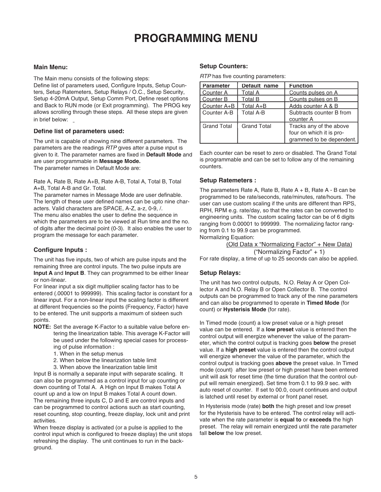### **PROGRAMMING MENU**

### **Main Menu:**

The Main menu consists of the following steps:

Define list of parameters used, Configure Inputs, Setup Counters, Setup Ratemeters, Setup Relays / O.C., Setup Security, Setup 4-20mA Output, Setup Comm Port, Define reset options and Back to RUN mode (or Exit programming). The PROG key allows scrolling through these steps. All these steps are given in brief below:

### **Define list of parameters used:**

The unit is capable of showing nine different parameters. The parameters are the readings RTP gives after a pulse input is given to it. The parameter names are fixed in **Default Mode** and are user programmable in **Message Mode.** 

The parameter names in Default Mode are:

Rate A, Rate B, Rate A+B, Rate A-B, Total A, Total B, Total A+B, Total A-B and Gr. Total.

The parameter names in Message Mode are user definable. The length of these user defined names can be upto nine characters. Valid characters are SPACE, A-Z, a-z, 0-9, /. The menu also enables the user to define the sequence in which the parameters are to be viewed at Run time and the no. of digits after the decimal point (0-3). It also enables the user to program the message for each parameter.

### **Configure Inputs :**

The unit has five inputs, two of which are pulse inputs and the remaining three are control inputs. The two pulse inputs are **Input A** and **Input B**. They can programmed to be either linear or non-linear.

For linear input a six digit multiplier scaling factor has to be entered (.00001 to 999999). This scaling factor is constant for a linear input. For a non-linear input the scaling factor is different at different frequencies so the points (Frequency, Factor) have to be entered. The unit supports a maximum of sixteen such points.

- **NOTE:** Set the average K-Factor to a suitable value before entering the linearization table. This average K-Factor will be used under the following special cases for processing of pulse information :
	- 1. When in the setup menus
	- 2. When below the linearization table limit
	- 3. When above the linearization table limit

Input B is normally a separate input with separate scaling. It can also be programmed as a control input for up counting or down counting of Total A. A High on Input B makes Total A count up and a low on Input B makes Total A count down. The remaining three inputs C, D and E are control inputs and can be programmed to control actions such as start counting, reset counting, stop counting, freeze display, lock unit and print activities.

When freeze display is activated (or a pulse is applied to the control input which is configured to freeze display) the unit stops refreshing the display. The unit continues to run in the background.

### **Setup Counters:**

RTP has five counting parameters:

| <b>Parameter</b> | Default name       | <b>Function</b>                                                                 |
|------------------|--------------------|---------------------------------------------------------------------------------|
| l Counter A      | <b>Total A</b>     | Counts pulses on A                                                              |
| Counter B        | <b>Total B</b>     | Counts pulses on B                                                              |
| Counter A+B      | Total A+B          | Adds counter A & B                                                              |
| Counter A-B      | <b>Total A-B</b>   | Subtracts counter B from<br>counter A                                           |
| Grand Total      | <b>Grand Total</b> | Tracks any of the above<br>four on which it is pro-<br>grammed to be dependent. |

Each counter can be reset to zero or disabled. The Grand Total is programmable and can be set to follow any of the remaining counters.

### **Setup Ratemeters :**

The parameters Rate A, Rate B, Rate  $A + B$ , Rate  $A - B$  can be programmed to be rate/seconds, rate/minutes, rate/hours. The user can use custom scaling if the units are different than RPS, RPH, RPM e.g. rate/day, so that the rates can be converted to engineering units. The custom scaling factor can be of 6 digits ranging from 0.00001 to 999999. The normalizing factor ranging from 0.1 to 99.9 can be programmed.

Normalizing Equation:

(Old Data x "Normalizing Factor" + New Data)

("Normalizing Factor" + 1)

For rate display, a time of up to 25 seconds can also be applied.

### **Setup Relays:**

The unit has two control outputs, N.O. Relay A or Open Collector A and N.O. Relay B or Open Collector B. The control outputs can be programmed to track any of the nine parameters and can also be programmed to operate in **Timed Mode** (for count) or **Hysterisis Mode** (for rate).

In Timed mode (count) a low preset value or a high preset value can be entered. If a **low preset** value is entered then the control output will energize whenever the value of the parameter, which the control output is tracking goes **below** the preset value. If a **high preset** value is entered then the control output will energize whenever the value of the parameter, which the control output is tracking goes **above** the preset value. In Timed mode (count) after low preset or high preset have been entered unit will ask for reset time (the time duration that the control output will remain energized). Set time from 0.1 to 99.9 sec. with auto reset of counter. If set to 00.0, count continues and output is latched until reset by external or front panel reset.

In Hysterisis mode (rate) **both** the high preset and low preset for the Hysterisis have to be entered. The control relay will activate when the rate parameter is **equal to** or **exceeds** the high preset. The relay will remain energized until the rate parameter fall **below** the low preset.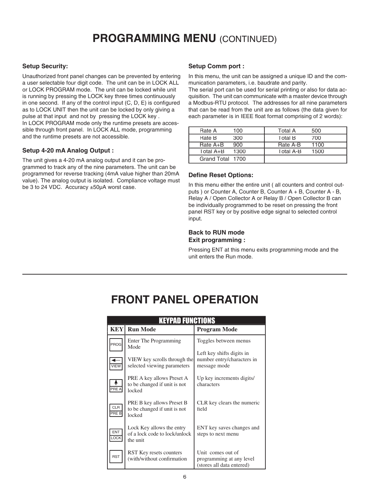### **PROGRAMMING MENU** (CONTINUED)

### **Setup Security:**

Unauthorized front panel changes can be prevented by entering a user selectable four digit code. The unit can be in LOCK ALL or LOCK PROGRAM mode. The unit can be locked while unit is running by pressing the LOCK key three times continuously in one second. If any of the control input  $(C, D, E)$  is configured as to LOCK UNIT then the unit can be locked by only giving a pulse at that input and not by pressing the LOCK key . In LOCK PROGRAM mode only the runtime presets are accessible through front panel. In LOCK ALL mode, programming and the runtime presets are not accessible.

### **Setup 4-20 mA Analog Output :**

The unit gives a 4-20 mA analog output and it can be programmed to track any of the nine parameters. The unit can be programmed for reverse tracking (4mA value higher than 20mA value). The analog output is isolated. Compliance voltage must be 3 to 24 VDC. Accuracy ±50µA worst case.

### **Setup Comm port :**

In this menu, the unit can be assigned a unique ID and the communication parameters, i.e. baudrate and parity.

The serial port can be used for serial printing or also for data acquisition. The unit can communicate with a master device through a Modbus-RTU protocol. The addresses for all nine parameters that can be read from the unit are as follows (the data given for each parameter is in IEEE float format comprising of 2 words):

| Rate A           | 100  | Total A        | 500  |
|------------------|------|----------------|------|
| Rate B           | 300  | <b>Total B</b> | 700  |
| $Rate A+B$       | 900  | Rate A-B       | 1100 |
| Total $A+B$      | 1300 | Total A-B      | 1500 |
| Grand Total 1700 |      |                |      |

### **Define Reset Options:**

In this menu either the entire unit ( all counters and control outputs ) or Counter A, Counter B, Counter A + B, Counter A - B, Relay A / Open Collector A or Relay B / Open Collector B can be individually programmed to be reset on pressing the front panel RST key or by positive edge signal to selected control input.

### **Back to RUN mode Exit programming :**

Pressing ENT at this menu exits programming mode and the unit enters the Run mode.

### **FRONT PANEL OPERATION**

| <b>KEYPAD FUNCTIONS</b> |                                                                        |                                                                            |  |
|-------------------------|------------------------------------------------------------------------|----------------------------------------------------------------------------|--|
| <b>KEY</b>              | <b>Run Mode</b>                                                        | <b>Program Mode</b>                                                        |  |
| PROG                    | Enter The Programming<br>Mode                                          | Toggles between menus                                                      |  |
| VIEW                    | VIEW key scrolls through the<br>selected viewing parameters            | Left key shifts digits in<br>number entry/characters in<br>message mode    |  |
| PRE A                   | PRE A key allows Preset A<br>to be changed if unit is not<br>locked    | Up key increments digits/<br>characters                                    |  |
| <b>CLR</b><br>PRE B     | PRE B key allows Preset B<br>to be changed if unit is not<br>locked    | CLR key clears the numeric<br>field                                        |  |
| <b>ENT</b><br>LOCK      | Lock Key allows the entry<br>of a lock code to lock/unlock<br>the unit | ENT key saves changes and<br>steps to next menu                            |  |
| <b>RST</b>              | RST Key resets counters<br>(with/without confirmation)                 | Unit comes out of<br>programming at any level<br>(stores all data entered) |  |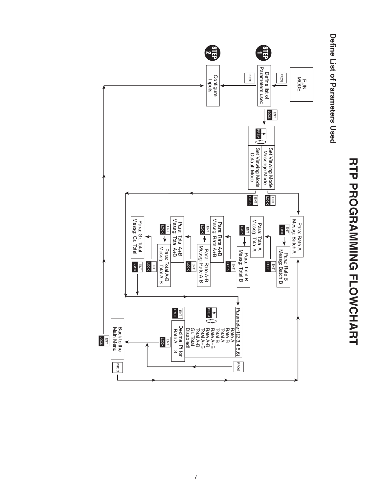

# **RTP PROGRAMING FLOWCHATH RTP PROGRAMMING FLOWCHART**

### Define List of Parameters Osed **Defi ne List of Parameters Used**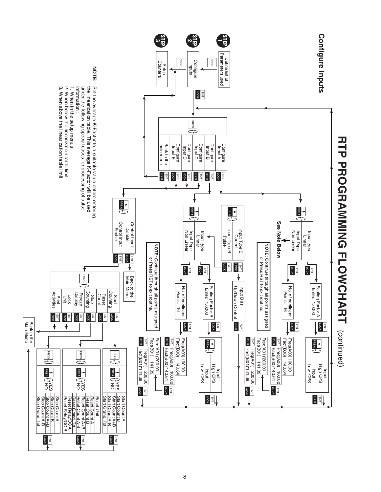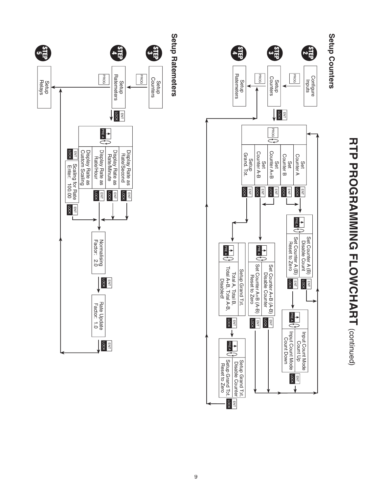

**Setup Ratemeters**

# **RTP PROGRAMINING FLOXOUNCHARY RTP PROGRAMMING FLOWCHART** (continued)

### Setup Counters **Setup Counters**

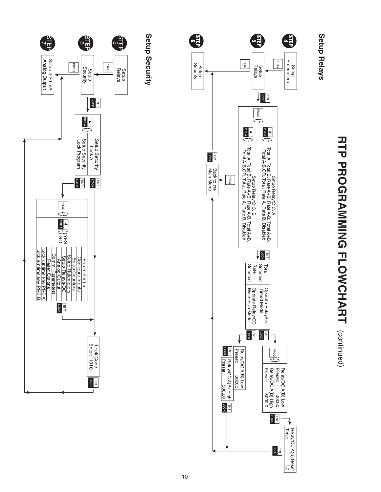

# **RHA PROGRANNING FLOWCHARY (costringen) RTP PROGRAMMING FLOWCHART**

(continued)

### Setup<br>
Relays **Setup Relays**

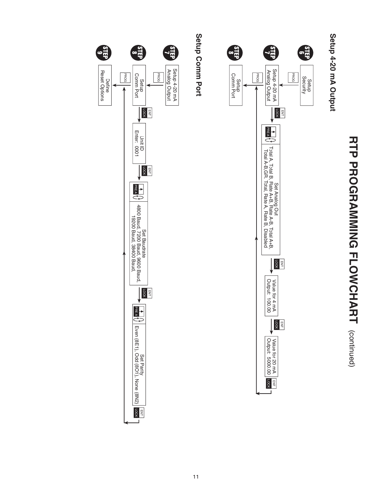# **RTP PROGRAMING FLOWCHART (continued) RTP PROGRAMMING FLOWCHART** (continued)

### Setup 4-20 mA Output **Setup 4-20 mA Output**



## Setup Comm Port

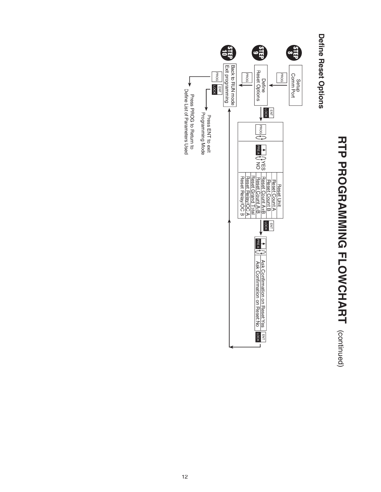# **RTP PROGRAMING FLOWCHAMING RTP PROGRAMMING FLOWCHART** (continued)

### **Define Reset Options Defi ne Reset Options**

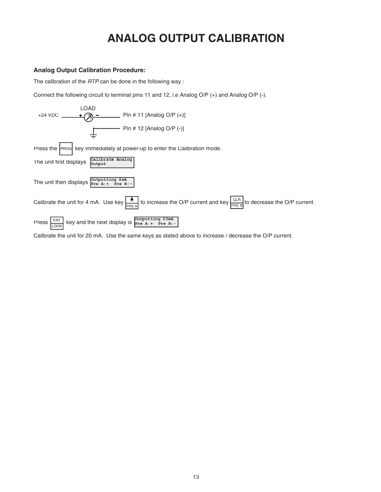### **ANALOG OUTPUT CALIBRATION**

### **Analog Output Calibration Procedure:**

The calibration of the RTP can be done in the following way :

Connect the following circuit to terminal pins 11 and 12, i.e Analog O/P (+) and Analog O/P (-).



Calibrate the unit for 20 mA. Use the same keys as stated above to increase / decrease the O/P current.